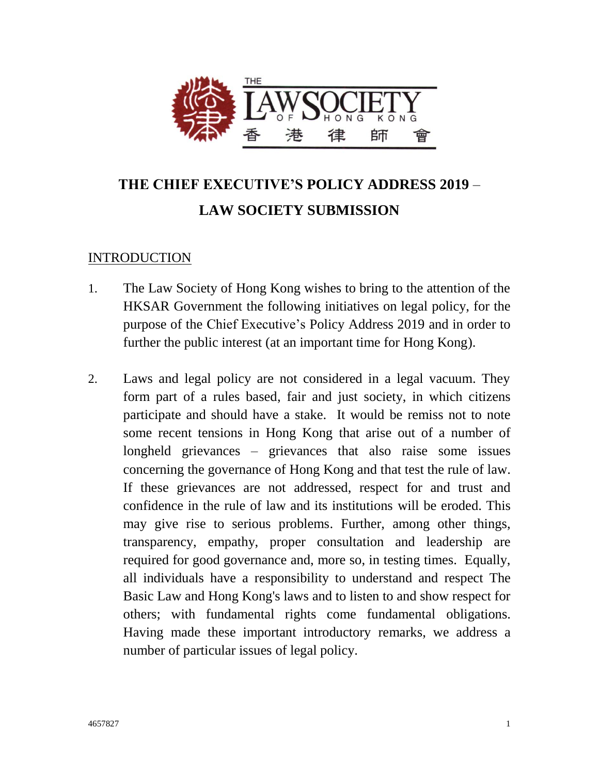

# **THE CHIEF EXECUTIVE'S POLICY ADDRESS 2019** – **LAW SOCIETY SUBMISSION**

## INTRODUCTION

- 1. The Law Society of Hong Kong wishes to bring to the attention of the HKSAR Government the following initiatives on legal policy, for the purpose of the Chief Executive's Policy Address 2019 and in order to further the public interest (at an important time for Hong Kong).
- 2. Laws and legal policy are not considered in a legal vacuum. They form part of a rules based, fair and just society, in which citizens participate and should have a stake. It would be remiss not to note some recent tensions in Hong Kong that arise out of a number of longheld grievances – grievances that also raise some issues concerning the governance of Hong Kong and that test the rule of law. If these grievances are not addressed, respect for and trust and confidence in the rule of law and its institutions will be eroded. This may give rise to serious problems. Further, among other things, transparency, empathy, proper consultation and leadership are required for good governance and, more so, in testing times. Equally, all individuals have a responsibility to understand and respect The Basic Law and Hong Kong's laws and to listen to and show respect for others; with fundamental rights come fundamental obligations. Having made these important introductory remarks, we address a number of particular issues of legal policy.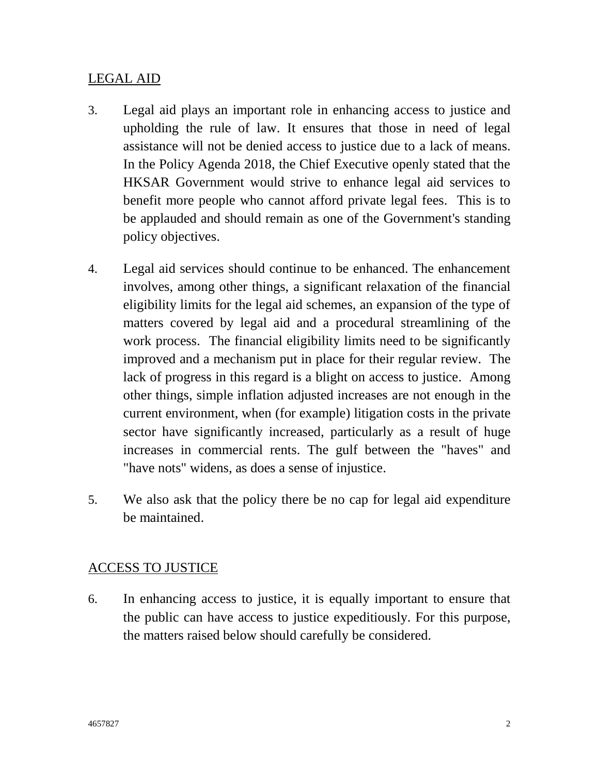#### LEGAL AID

- 3. Legal aid plays an important role in enhancing access to justice and upholding the rule of law. It ensures that those in need of legal assistance will not be denied access to justice due to a lack of means. In the Policy Agenda 2018, the Chief Executive openly stated that the HKSAR Government would strive to enhance legal aid services to benefit more people who cannot afford private legal fees. This is to be applauded and should remain as one of the Government's standing policy objectives.
- 4. Legal aid services should continue to be enhanced. The enhancement involves, among other things, a significant relaxation of the financial eligibility limits for the legal aid schemes, an expansion of the type of matters covered by legal aid and a procedural streamlining of the work process. The financial eligibility limits need to be significantly improved and a mechanism put in place for their regular review. The lack of progress in this regard is a blight on access to justice. Among other things, simple inflation adjusted increases are not enough in the current environment, when (for example) litigation costs in the private sector have significantly increased, particularly as a result of huge increases in commercial rents. The gulf between the "haves" and "have nots" widens, as does a sense of injustice.
- 5. We also ask that the policy there be no cap for legal aid expenditure be maintained.

### ACCESS TO JUSTICE

6. In enhancing access to justice, it is equally important to ensure that the public can have access to justice expeditiously. For this purpose, the matters raised below should carefully be considered.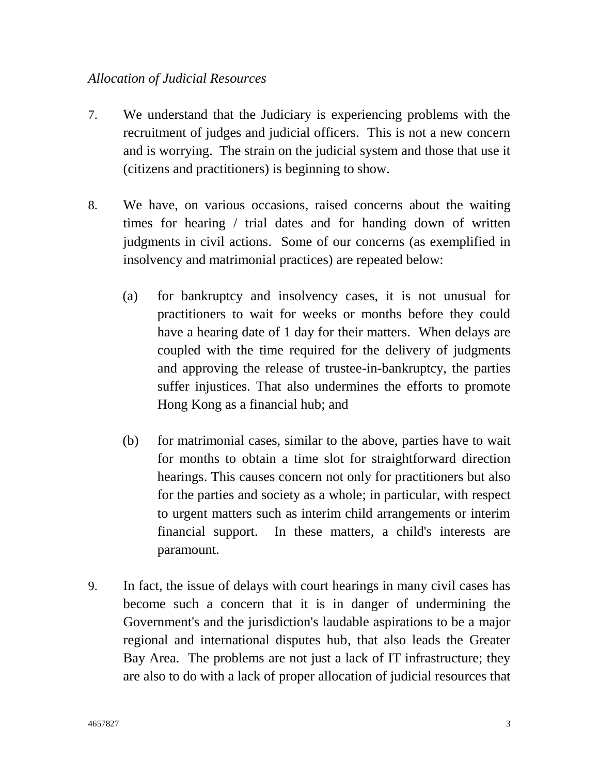#### *Allocation of Judicial Resources*

- 7. We understand that the Judiciary is experiencing problems with the recruitment of judges and judicial officers. This is not a new concern and is worrying. The strain on the judicial system and those that use it (citizens and practitioners) is beginning to show.
- 8. We have, on various occasions, raised concerns about the waiting times for hearing / trial dates and for handing down of written judgments in civil actions. Some of our concerns (as exemplified in insolvency and matrimonial practices) are repeated below:
	- (a) for bankruptcy and insolvency cases, it is not unusual for practitioners to wait for weeks or months before they could have a hearing date of 1 day for their matters. When delays are coupled with the time required for the delivery of judgments and approving the release of trustee-in-bankruptcy, the parties suffer injustices. That also undermines the efforts to promote Hong Kong as a financial hub; and
	- (b) for matrimonial cases, similar to the above, parties have to wait for months to obtain a time slot for straightforward direction hearings. This causes concern not only for practitioners but also for the parties and society as a whole; in particular, with respect to urgent matters such as interim child arrangements or interim financial support. In these matters, a child's interests are paramount.
- 9. In fact, the issue of delays with court hearings in many civil cases has become such a concern that it is in danger of undermining the Government's and the jurisdiction's laudable aspirations to be a major regional and international disputes hub, that also leads the Greater Bay Area. The problems are not just a lack of IT infrastructure; they are also to do with a lack of proper allocation of judicial resources that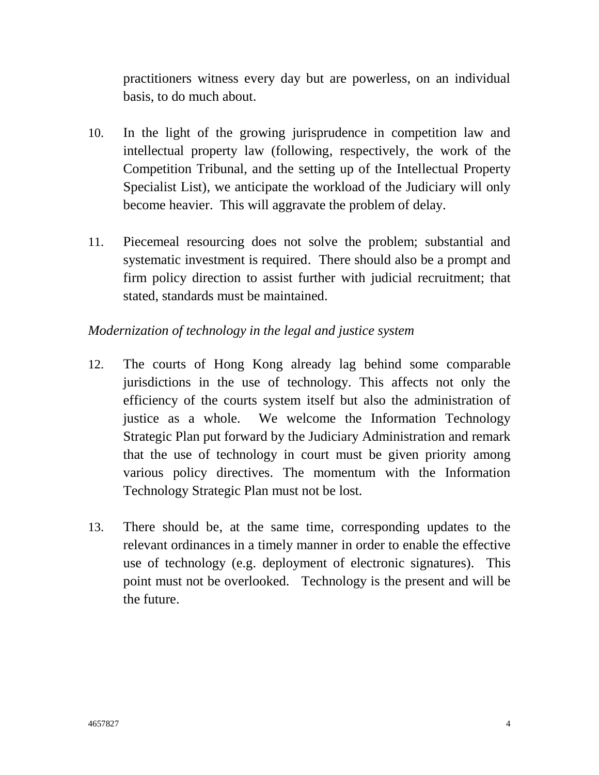practitioners witness every day but are powerless, on an individual basis, to do much about.

- 10. In the light of the growing jurisprudence in competition law and intellectual property law (following, respectively, the work of the Competition Tribunal, and the setting up of the Intellectual Property Specialist List), we anticipate the workload of the Judiciary will only become heavier. This will aggravate the problem of delay.
- 11. Piecemeal resourcing does not solve the problem; substantial and systematic investment is required. There should also be a prompt and firm policy direction to assist further with judicial recruitment; that stated, standards must be maintained.

## *Modernization of technology in the legal and justice system*

- 12. The courts of Hong Kong already lag behind some comparable jurisdictions in the use of technology. This affects not only the efficiency of the courts system itself but also the administration of justice as a whole. We welcome the Information Technology Strategic Plan put forward by the Judiciary Administration and remark that the use of technology in court must be given priority among various policy directives. The momentum with the Information Technology Strategic Plan must not be lost.
- 13. There should be, at the same time, corresponding updates to the relevant ordinances in a timely manner in order to enable the effective use of technology (e.g. deployment of electronic signatures). This point must not be overlooked. Technology is the present and will be the future.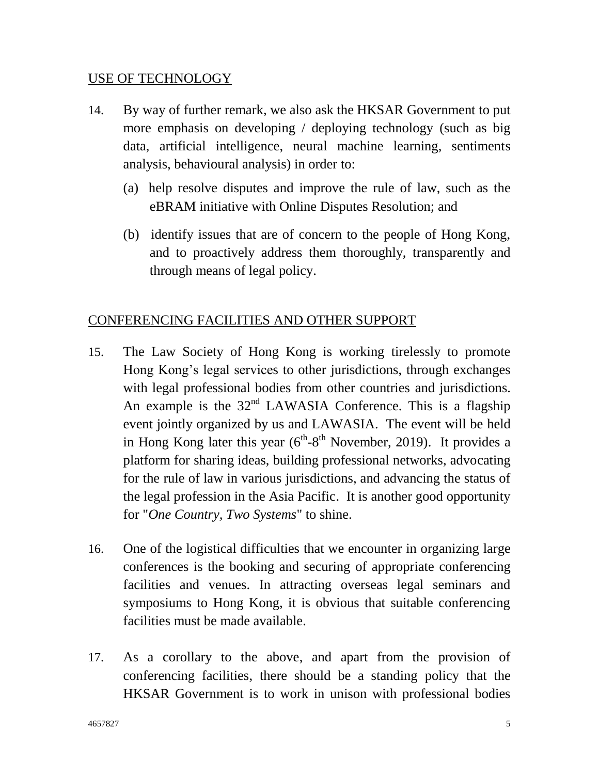#### USE OF TECHNOLOGY

- 14. By way of further remark, we also ask the HKSAR Government to put more emphasis on developing / deploying technology (such as big data, artificial intelligence, neural machine learning, sentiments analysis, behavioural analysis) in order to:
	- (a) help resolve disputes and improve the rule of law, such as the eBRAM initiative with Online Disputes Resolution; and
	- (b) identify issues that are of concern to the people of Hong Kong, and to proactively address them thoroughly, transparently and through means of legal policy.

## CONFERENCING FACILITIES AND OTHER SUPPORT

- 15. The Law Society of Hong Kong is working tirelessly to promote Hong Kong's legal services to other jurisdictions, through exchanges with legal professional bodies from other countries and jurisdictions. An example is the  $32<sup>nd</sup>$  LAWASIA Conference. This is a flagship event jointly organized by us and LAWASIA. The event will be held in Hong Kong later this year  $(6^{th} - 8^{th}$  November, 2019). It provides a platform for sharing ideas, building professional networks, advocating for the rule of law in various jurisdictions, and advancing the status of the legal profession in the Asia Pacific. It is another good opportunity for "*One Country, Two Systems*" to shine.
- 16. One of the logistical difficulties that we encounter in organizing large conferences is the booking and securing of appropriate conferencing facilities and venues. In attracting overseas legal seminars and symposiums to Hong Kong, it is obvious that suitable conferencing facilities must be made available.
- 17. As a corollary to the above, and apart from the provision of conferencing facilities, there should be a standing policy that the HKSAR Government is to work in unison with professional bodies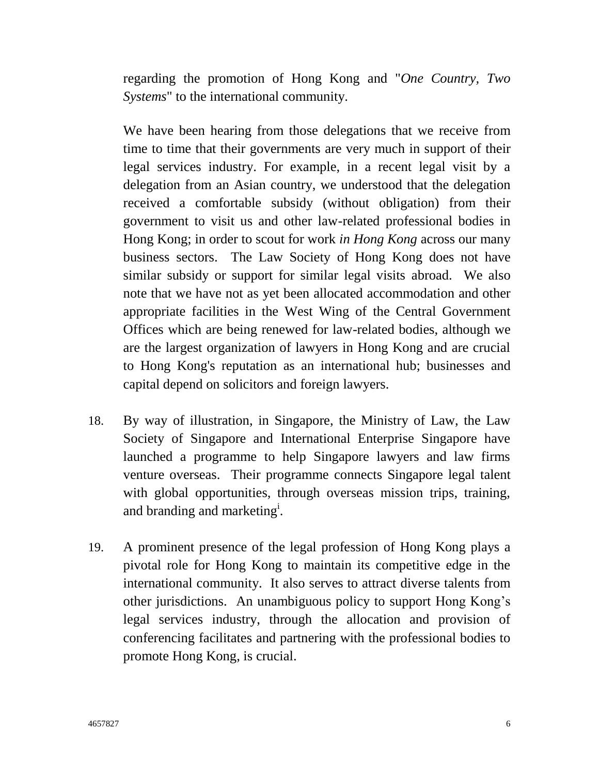regarding the promotion of Hong Kong and "*One Country, Two Systems*" to the international community.

We have been hearing from those delegations that we receive from time to time that their governments are very much in support of their legal services industry. For example, in a recent legal visit by a delegation from an Asian country, we understood that the delegation received a comfortable subsidy (without obligation) from their government to visit us and other law-related professional bodies in Hong Kong; in order to scout for work *in Hong Kong* across our many business sectors. The Law Society of Hong Kong does not have similar subsidy or support for similar legal visits abroad. We also note that we have not as yet been allocated accommodation and other appropriate facilities in the West Wing of the Central Government Offices which are being renewed for law-related bodies, although we are the largest organization of lawyers in Hong Kong and are crucial to Hong Kong's reputation as an international hub; businesses and capital depend on solicitors and foreign lawyers.

- 18. By way of illustration, in Singapore, the Ministry of Law, the Law Society of Singapore and International Enterprise Singapore have launched a programme to help Singapore lawyers and law firms venture overseas. Their programme connects Singapore legal talent with global opportunities, through overseas mission trips, training, and branding and marketing<sup>i</sup>.
- 19. A prominent presence of the legal profession of Hong Kong plays a pivotal role for Hong Kong to maintain its competitive edge in the international community. It also serves to attract diverse talents from other jurisdictions. An unambiguous policy to support Hong Kong's legal services industry, through the allocation and provision of conferencing facilitates and partnering with the professional bodies to promote Hong Kong, is crucial.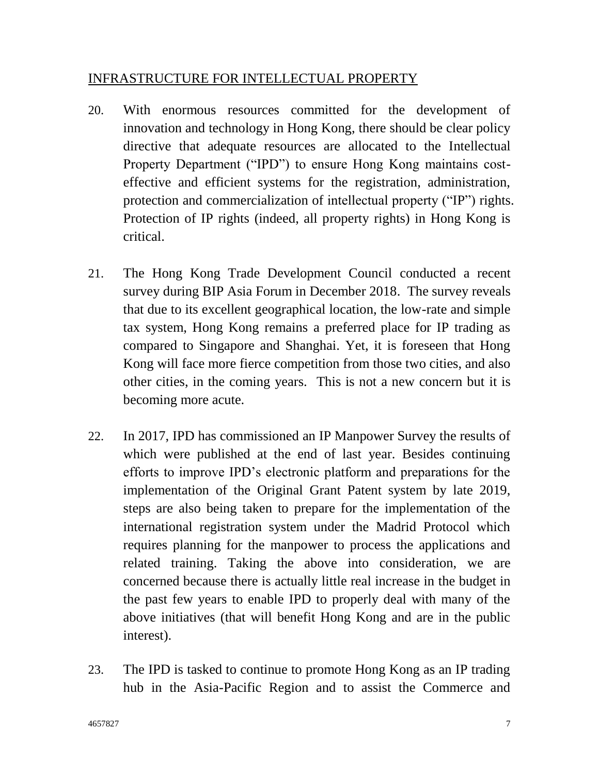#### INFRASTRUCTURE FOR INTELLECTUAL PROPERTY

- 20. With enormous resources committed for the development of innovation and technology in Hong Kong, there should be clear policy directive that adequate resources are allocated to the Intellectual Property Department ("IPD") to ensure Hong Kong maintains costeffective and efficient systems for the registration, administration, protection and commercialization of intellectual property ("IP") rights. Protection of IP rights (indeed, all property rights) in Hong Kong is critical.
- 21. The Hong Kong Trade Development Council conducted a recent survey during BIP Asia Forum in December 2018. The survey reveals that due to its excellent geographical location, the low-rate and simple tax system, Hong Kong remains a preferred place for IP trading as compared to Singapore and Shanghai. Yet, it is foreseen that Hong Kong will face more fierce competition from those two cities, and also other cities, in the coming years. This is not a new concern but it is becoming more acute.
- 22. In 2017, IPD has commissioned an IP Manpower Survey the results of which were published at the end of last year. Besides continuing efforts to improve IPD's electronic platform and preparations for the implementation of the Original Grant Patent system by late 2019, steps are also being taken to prepare for the implementation of the international registration system under the Madrid Protocol which requires planning for the manpower to process the applications and related training. Taking the above into consideration, we are concerned because there is actually little real increase in the budget in the past few years to enable IPD to properly deal with many of the above initiatives (that will benefit Hong Kong and are in the public interest).
- 23. The IPD is tasked to continue to promote Hong Kong as an IP trading hub in the Asia-Pacific Region and to assist the Commerce and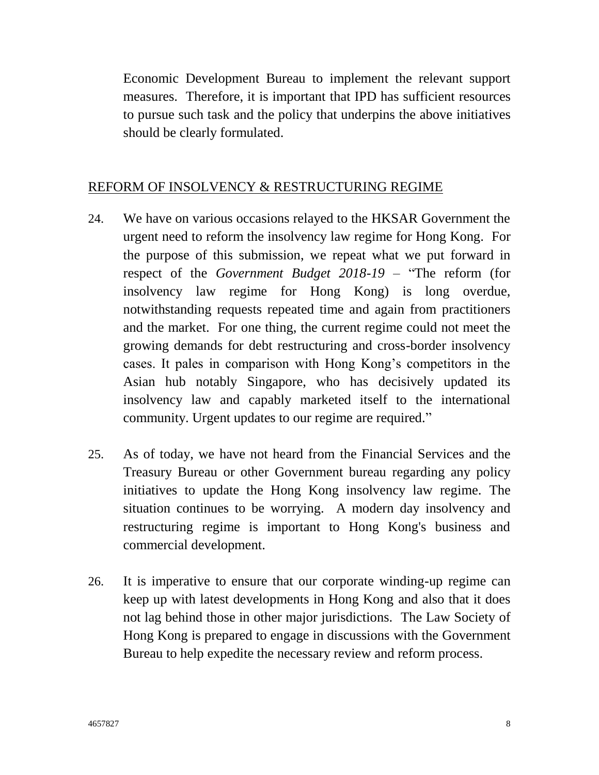Economic Development Bureau to implement the relevant support measures. Therefore, it is important that IPD has sufficient resources to pursue such task and the policy that underpins the above initiatives should be clearly formulated.

#### REFORM OF INSOLVENCY & RESTRUCTURING REGIME

- 24. We have on various occasions relayed to the HKSAR Government the urgent need to reform the insolvency law regime for Hong Kong. For the purpose of this submission, we repeat what we put forward in respect of the *Government Budget 2018-19* – "The reform (for insolvency law regime for Hong Kong) is long overdue, notwithstanding requests repeated time and again from practitioners and the market. For one thing, the current regime could not meet the growing demands for debt restructuring and cross-border insolvency cases. It pales in comparison with Hong Kong's competitors in the Asian hub notably Singapore, who has decisively updated its insolvency law and capably marketed itself to the international community. Urgent updates to our regime are required."
- 25. As of today, we have not heard from the Financial Services and the Treasury Bureau or other Government bureau regarding any policy initiatives to update the Hong Kong insolvency law regime. The situation continues to be worrying. A modern day insolvency and restructuring regime is important to Hong Kong's business and commercial development.
- 26. It is imperative to ensure that our corporate winding-up regime can keep up with latest developments in Hong Kong and also that it does not lag behind those in other major jurisdictions. The Law Society of Hong Kong is prepared to engage in discussions with the Government Bureau to help expedite the necessary review and reform process.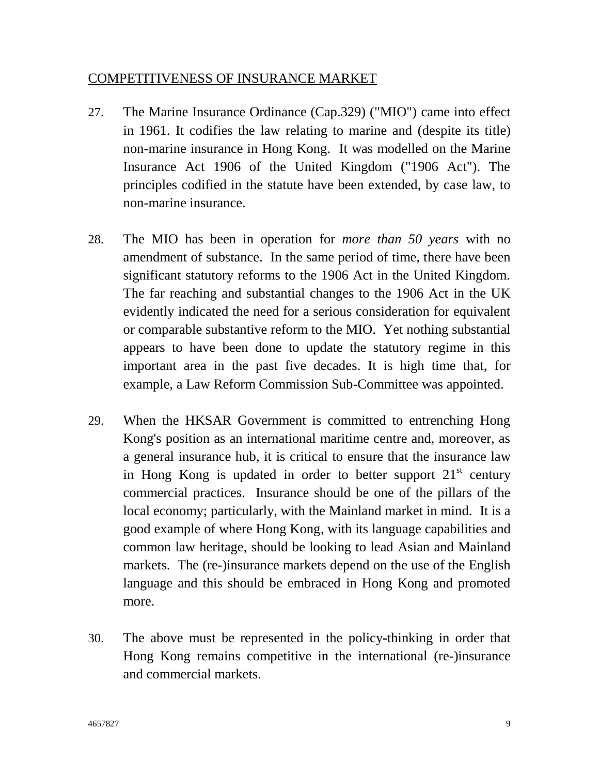#### COMPETITIVENESS OF INSURANCE MARKET

- 27. The Marine Insurance Ordinance (Cap.329) ("MIO") came into effect in 1961. It codifies the law relating to marine and (despite its title) non-marine insurance in Hong Kong. It was modelled on the Marine Insurance Act 1906 of the United Kingdom ("1906 Act"). The principles codified in the statute have been extended, by case law, to non-marine insurance.
- 28. The MIO has been in operation for *more than 50 years* with no amendment of substance. In the same period of time, there have been significant statutory reforms to the 1906 Act in the United Kingdom. The far reaching and substantial changes to the 1906 Act in the UK evidently indicated the need for a serious consideration for equivalent or comparable substantive reform to the MIO. Yet nothing substantial appears to have been done to update the statutory regime in this important area in the past five decades. It is high time that, for example, a Law Reform Commission Sub-Committee was appointed.
- 29. When the HKSAR Government is committed to entrenching Hong Kong's position as an international maritime centre and, moreover, as a general insurance hub, it is critical to ensure that the insurance law in Hong Kong is updated in order to better support  $21<sup>st</sup>$  century commercial practices. Insurance should be one of the pillars of the local economy; particularly, with the Mainland market in mind. It is a good example of where Hong Kong, with its language capabilities and common law heritage, should be looking to lead Asian and Mainland markets. The (re-)insurance markets depend on the use of the English language and this should be embraced in Hong Kong and promoted more.
- 30. The above must be represented in the policy**-**thinking in order that Hong Kong remains competitive in the international (re-)insurance and commercial markets.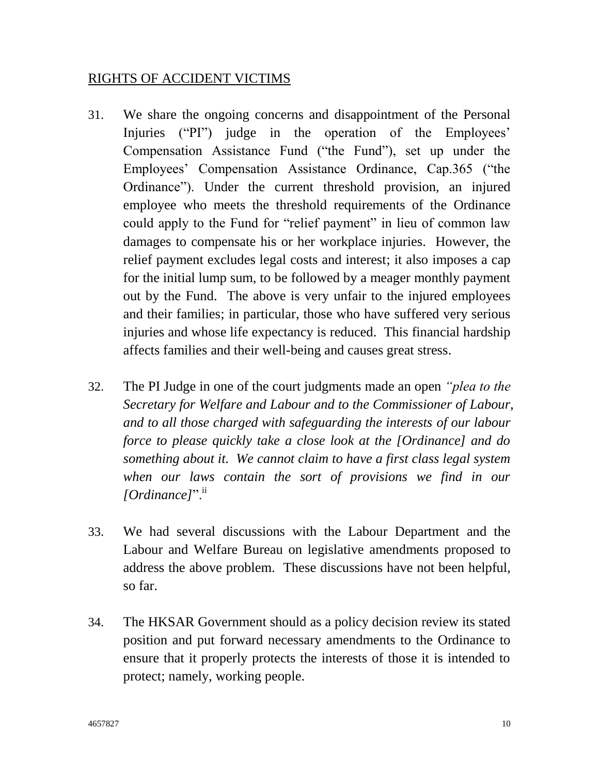### RIGHTS OF ACCIDENT VICTIMS

- 31. We share the ongoing concerns and disappointment of the Personal Injuries ("PI") judge in the operation of the Employees' Compensation Assistance Fund ("the Fund"), set up under the Employees' Compensation Assistance Ordinance, Cap.365 ("the Ordinance"). Under the current threshold provision, an injured employee who meets the threshold requirements of the Ordinance could apply to the Fund for "relief payment" in lieu of common law damages to compensate his or her workplace injuries. However, the relief payment excludes legal costs and interest; it also imposes a cap for the initial lump sum, to be followed by a meager monthly payment out by the Fund. The above is very unfair to the injured employees and their families; in particular, those who have suffered very serious injuries and whose life expectancy is reduced. This financial hardship affects families and their well-being and causes great stress.
- 32. The PI Judge in one of the court judgments made an open *"plea to the Secretary for Welfare and Labour and to the Commissioner of Labour, and to all those charged with safeguarding the interests of our labour force to please quickly take a close look at the [Ordinance] and do something about it. We cannot claim to have a first class legal system when our laws contain the sort of provisions we find in our*  [Ordinance]".<sup>ii</sup>
- 33. We had several discussions with the Labour Department and the Labour and Welfare Bureau on legislative amendments proposed to address the above problem. These discussions have not been helpful, so far.
- 34. The HKSAR Government should as a policy decision review its stated position and put forward necessary amendments to the Ordinance to ensure that it properly protects the interests of those it is intended to protect; namely, working people.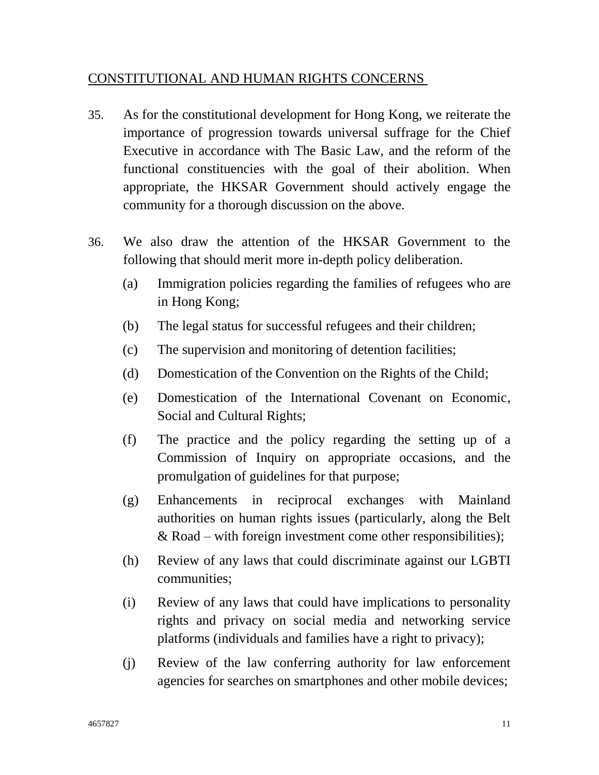### CONSTITUTIONAL AND HUMAN RIGHTS CONCERNS

- 35. As for the constitutional development for Hong Kong, we reiterate the importance of progression towards universal suffrage for the Chief Executive in accordance with The Basic Law, and the reform of the functional constituencies with the goal of their abolition. When appropriate, the HKSAR Government should actively engage the community for a thorough discussion on the above.
- 36. We also draw the attention of the HKSAR Government to the following that should merit more in-depth policy deliberation.
	- (a) Immigration policies regarding the families of refugees who are in Hong Kong;
	- (b) The legal status for successful refugees and their children;
	- (c) The supervision and monitoring of detention facilities;
	- (d) Domestication of the Convention on the Rights of the Child;
	- (e) Domestication of the International Covenant on Economic, Social and Cultural Rights;
	- (f) The practice and the policy regarding the setting up of a Commission of Inquiry on appropriate occasions, and the promulgation of guidelines for that purpose;
	- (g) Enhancements in reciprocal exchanges with Mainland authorities on human rights issues (particularly, along the Belt & Road – with foreign investment come other responsibilities);
	- (h) Review of any laws that could discriminate against our LGBTI communities;
	- (i) Review of any laws that could have implications to personality rights and privacy on social media and networking service platforms (individuals and families have a right to privacy);
	- (j) Review of the law conferring authority for law enforcement agencies for searches on smartphones and other mobile devices;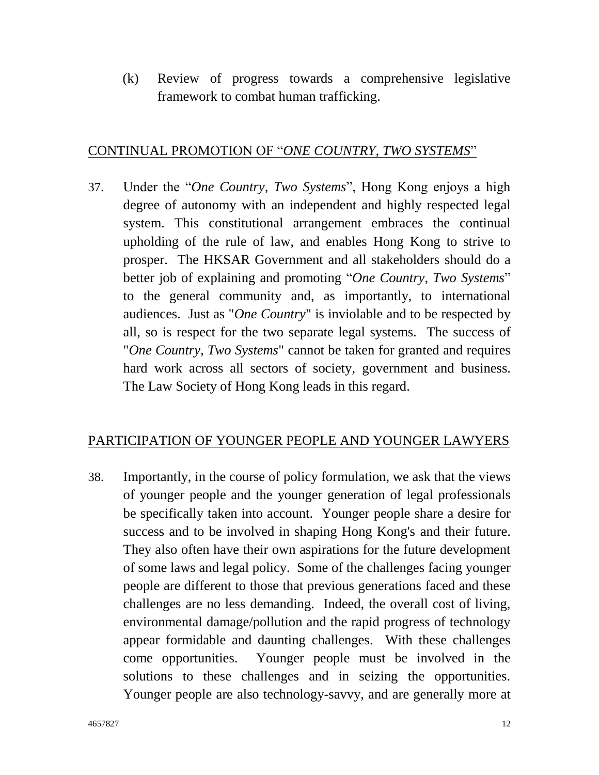(k) Review of progress towards a comprehensive legislative framework to combat human trafficking.

### CONTINUAL PROMOTION OF "*ONE COUNTRY, TWO SYSTEMS*"

37. Under the "*One Country, Two Systems*", Hong Kong enjoys a high degree of autonomy with an independent and highly respected legal system. This constitutional arrangement embraces the continual upholding of the rule of law, and enables Hong Kong to strive to prosper. The HKSAR Government and all stakeholders should do a better job of explaining and promoting "*One Country, Two Systems*" to the general community and, as importantly, to international audiences. Just as "*One Country*" is inviolable and to be respected by all, so is respect for the two separate legal systems. The success of "*One Country, Two Systems*" cannot be taken for granted and requires hard work across all sectors of society, government and business. The Law Society of Hong Kong leads in this regard.

## PARTICIPATION OF YOUNGER PEOPLE AND YOUNGER LAWYERS

38. Importantly, in the course of policy formulation, we ask that the views of younger people and the younger generation of legal professionals be specifically taken into account. Younger people share a desire for success and to be involved in shaping Hong Kong's and their future. They also often have their own aspirations for the future development of some laws and legal policy. Some of the challenges facing younger people are different to those that previous generations faced and these challenges are no less demanding. Indeed, the overall cost of living, environmental damage/pollution and the rapid progress of technology appear formidable and daunting challenges. With these challenges come opportunities. Younger people must be involved in the solutions to these challenges and in seizing the opportunities. Younger people are also technology-savvy, and are generally more at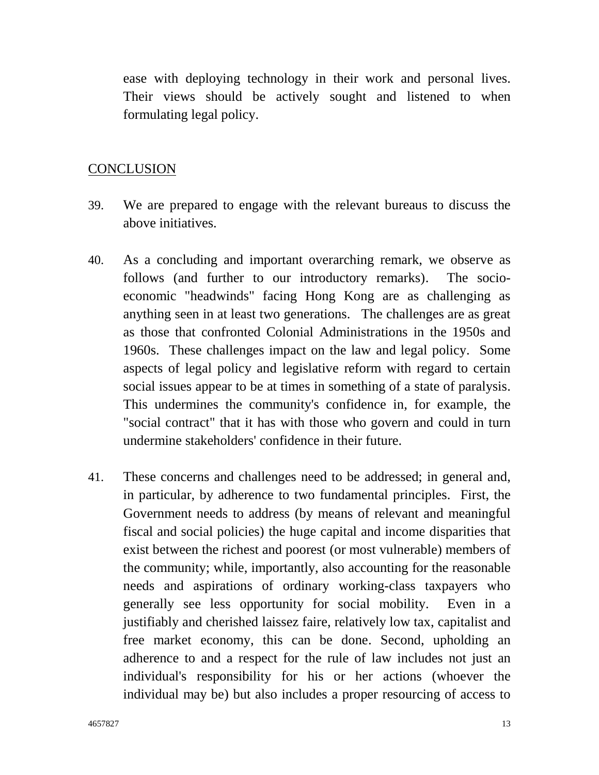ease with deploying technology in their work and personal lives. Their views should be actively sought and listened to when formulating legal policy.

#### **CONCLUSION**

- 39. We are prepared to engage with the relevant bureaus to discuss the above initiatives.
- 40. As a concluding and important overarching remark, we observe as follows (and further to our introductory remarks). The socioeconomic "headwinds" facing Hong Kong are as challenging as anything seen in at least two generations. The challenges are as great as those that confronted Colonial Administrations in the 1950s and 1960s. These challenges impact on the law and legal policy. Some aspects of legal policy and legislative reform with regard to certain social issues appear to be at times in something of a state of paralysis. This undermines the community's confidence in, for example, the "social contract" that it has with those who govern and could in turn undermine stakeholders' confidence in their future.
- 41. These concerns and challenges need to be addressed; in general and, in particular, by adherence to two fundamental principles. First, the Government needs to address (by means of relevant and meaningful fiscal and social policies) the huge capital and income disparities that exist between the richest and poorest (or most vulnerable) members of the community; while, importantly, also accounting for the reasonable needs and aspirations of ordinary working-class taxpayers who generally see less opportunity for social mobility. Even in a justifiably and cherished laissez faire, relatively low tax, capitalist and free market economy, this can be done. Second, upholding an adherence to and a respect for the rule of law includes not just an individual's responsibility for his or her actions (whoever the individual may be) but also includes a proper resourcing of access to